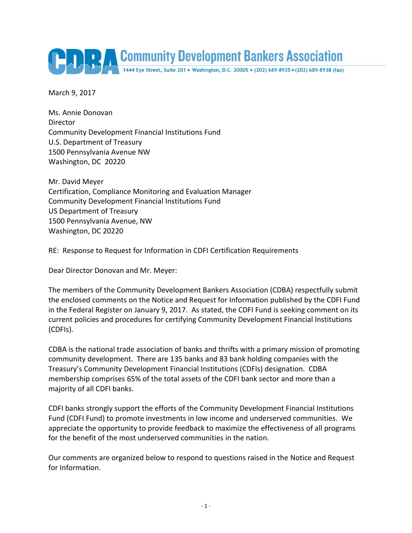

March 9, 2017

Ms. Annie Donovan Director Community Development Financial Institutions Fund U.S. Department of Treasury 1500 Pennsylvania Avenue NW Washington, DC 20220

Mr. David Meyer Certification, Compliance Monitoring and Evaluation Manager Community Development Financial Institutions Fund US Department of Treasury 1500 Pennsylvania Avenue, NW Washington, DC 20220

RE: Response to Request for Information in CDFI Certification Requirements

Dear Director Donovan and Mr. Meyer:

The members of the Community Development Bankers Association (CDBA) respectfully submit the enclosed comments on the Notice and Request for Information published by the CDFI Fund in the Federal Register on January 9, 2017. As stated, the CDFI Fund is seeking comment on its current policies and procedures for certifying Community Development Financial Institutions (CDFIs).

CDBA is the national trade association of banks and thrifts with a primary mission of promoting community development. There are 135 banks and 83 bank holding companies with the Treasury's Community Development Financial Institutions (CDFIs) designation. CDBA membership comprises 65% of the total assets of the CDFI bank sector and more than a majority of all CDFI banks.

CDFI banks strongly support the efforts of the Community Development Financial Institutions Fund (CDFI Fund) to promote investments in low income and underserved communities. We appreciate the opportunity to provide feedback to maximize the effectiveness of all programs for the benefit of the most underserved communities in the nation.

Our comments are organized below to respond to questions raised in the Notice and Request for Information.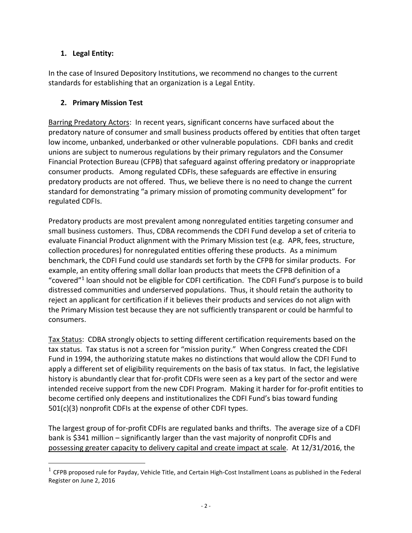### **1. Legal Entity:**

 $\overline{a}$ 

In the case of Insured Depository Institutions, we recommend no changes to the current standards for establishing that an organization is a Legal Entity.

#### **2. Primary Mission Test**

Barring Predatory Actors: In recent years, significant concerns have surfaced about the predatory nature of consumer and small business products offered by entities that often target low income, unbanked, underbanked or other vulnerable populations. CDFI banks and credit unions are subject to numerous regulations by their primary regulators and the Consumer Financial Protection Bureau (CFPB) that safeguard against offering predatory or inappropriate consumer products. Among regulated CDFIs, these safeguards are effective in ensuring predatory products are not offered. Thus, we believe there is no need to change the current standard for demonstrating "a primary mission of promoting community development" for regulated CDFIs.

Predatory products are most prevalent among nonregulated entities targeting consumer and small business customers. Thus, CDBA recommends the CDFI Fund develop a set of criteria to evaluate Financial Product alignment with the Primary Mission test (e.g. APR, fees, structure, collection procedures) for nonregulated entities offering these products. As a minimum benchmark, the CDFI Fund could use standards set forth by the CFPB for similar products. For example, an entity offering small dollar loan products that meets the CFPB definition of a "covered"<sup>1</sup> loan should not be eligible for CDFI certification. The CDFI Fund's purpose is to build distressed communities and underserved populations. Thus, it should retain the authority to reject an applicant for certification if it believes their products and services do not align with the Primary Mission test because they are not sufficiently transparent or could be harmful to consumers.

Tax Status: CDBA strongly objects to setting different certification requirements based on the tax status. Tax status is not a screen for "mission purity." When Congress created the CDFI Fund in 1994, the authorizing statute makes no distinctions that would allow the CDFI Fund to apply a different set of eligibility requirements on the basis of tax status. In fact, the legislative history is abundantly clear that for-profit CDFIs were seen as a key part of the sector and were intended receive support from the new CDFI Program. Making it harder for for-profit entities to become certified only deepens and institutionalizes the CDFI Fund's bias toward funding 501(c)(3) nonprofit CDFIs at the expense of other CDFI types.

The largest group of for-profit CDFIs are regulated banks and thrifts. The average size of a CDFI bank is \$341 million – significantly larger than the vast majority of nonprofit CDFIs and possessing greater capacity to delivery capital and create impact at scale. At 12/31/2016, the

 $^1$  CFPB proposed rule for Payday, Vehicle Title, and Certain High-Cost Installment Loans as published in the Federal Register on June 2, 2016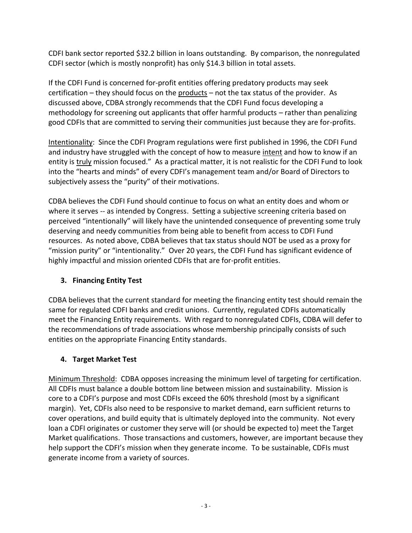CDFI bank sector reported \$32.2 billion in loans outstanding. By comparison, the nonregulated CDFI sector (which is mostly nonprofit) has only \$14.3 billion in total assets.

If the CDFI Fund is concerned for-profit entities offering predatory products may seek certification – they should focus on the products – not the tax status of the provider. As discussed above, CDBA strongly recommends that the CDFI Fund focus developing a methodology for screening out applicants that offer harmful products – rather than penalizing good CDFIs that are committed to serving their communities just because they are for-profits.

Intentionality: Since the CDFI Program regulations were first published in 1996, the CDFI Fund and industry have struggled with the concept of how to measure intent and how to know if an entity is truly mission focused." As a practical matter, it is not realistic for the CDFI Fund to look into the "hearts and minds" of every CDFI's management team and/or Board of Directors to subjectively assess the "purity" of their motivations.

CDBA believes the CDFI Fund should continue to focus on what an entity does and whom or where it serves -- as intended by Congress. Setting a subjective screening criteria based on perceived "intentionally" will likely have the unintended consequence of preventing some truly deserving and needy communities from being able to benefit from access to CDFI Fund resources. As noted above, CDBA believes that tax status should NOT be used as a proxy for "mission purity" or "intentionality." Over 20 years, the CDFI Fund has significant evidence of highly impactful and mission oriented CDFIs that are for-profit entities.

### **3. Financing Entity Test**

CDBA believes that the current standard for meeting the financing entity test should remain the same for regulated CDFI banks and credit unions. Currently, regulated CDFIs automatically meet the Financing Entity requirements. With regard to nonregulated CDFIs, CDBA will defer to the recommendations of trade associations whose membership principally consists of such entities on the appropriate Financing Entity standards.

### **4. Target Market Test**

Minimum Threshold: CDBA opposes increasing the minimum level of targeting for certification. All CDFIs must balance a double bottom line between mission and sustainability. Mission is core to a CDFI's purpose and most CDFIs exceed the 60% threshold (most by a significant margin). Yet, CDFIs also need to be responsive to market demand, earn sufficient returns to cover operations, and build equity that is ultimately deployed into the community. Not every loan a CDFI originates or customer they serve will (or should be expected to) meet the Target Market qualifications. Those transactions and customers, however, are important because they help support the CDFI's mission when they generate income. To be sustainable, CDFIs must generate income from a variety of sources.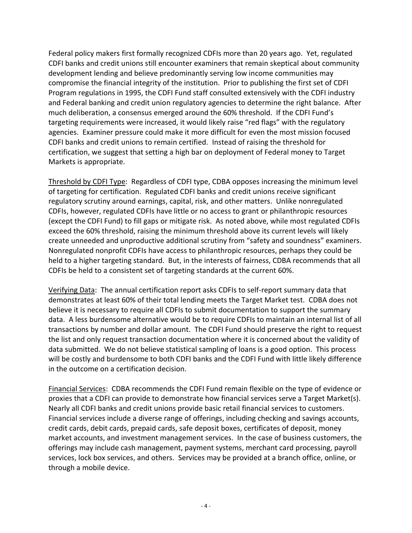Federal policy makers first formally recognized CDFIs more than 20 years ago. Yet, regulated CDFI banks and credit unions still encounter examiners that remain skeptical about community development lending and believe predominantly serving low income communities may compromise the financial integrity of the institution. Prior to publishing the first set of CDFI Program regulations in 1995, the CDFI Fund staff consulted extensively with the CDFI industry and Federal banking and credit union regulatory agencies to determine the right balance. After much deliberation, a consensus emerged around the 60% threshold. If the CDFI Fund's targeting requirements were increased, it would likely raise "red flags" with the regulatory agencies. Examiner pressure could make it more difficult for even the most mission focused CDFI banks and credit unions to remain certified. Instead of raising the threshold for certification, we suggest that setting a high bar on deployment of Federal money to Target Markets is appropriate.

Threshold by CDFI Type: Regardless of CDFI type, CDBA opposes increasing the minimum level of targeting for certification. Regulated CDFI banks and credit unions receive significant regulatory scrutiny around earnings, capital, risk, and other matters. Unlike nonregulated CDFIs, however, regulated CDFIs have little or no access to grant or philanthropic resources (except the CDFI Fund) to fill gaps or mitigate risk. As noted above, while most regulated CDFIs exceed the 60% threshold, raising the minimum threshold above its current levels will likely create unneeded and unproductive additional scrutiny from "safety and soundness" examiners. Nonregulated nonprofit CDFIs have access to philanthropic resources, perhaps they could be held to a higher targeting standard. But, in the interests of fairness, CDBA recommends that all CDFIs be held to a consistent set of targeting standards at the current 60%.

Verifying Data: The annual certification report asks CDFIs to self-report summary data that demonstrates at least 60% of their total lending meets the Target Market test. CDBA does not believe it is necessary to require all CDFIs to submit documentation to support the summary data. A less burdensome alternative would be to require CDFIs to maintain an internal list of all transactions by number and dollar amount. The CDFI Fund should preserve the right to request the list and only request transaction documentation where it is concerned about the validity of data submitted. We do not believe statistical sampling of loans is a good option. This process will be costly and burdensome to both CDFI banks and the CDFI Fund with little likely difference in the outcome on a certification decision.

Financial Services: CDBA recommends the CDFI Fund remain flexible on the type of evidence or proxies that a CDFI can provide to demonstrate how financial services serve a Target Market(s). Nearly all CDFI banks and credit unions provide basic retail financial services to customers. Financial services include a diverse range of offerings, including checking and savings accounts, credit cards, debit cards, prepaid cards, safe deposit boxes, certificates of deposit, money market accounts, and investment management services. In the case of business customers, the offerings may include cash management, payment systems, merchant card processing, payroll services, lock box services, and others. Services may be provided at a branch office, online, or through a mobile device.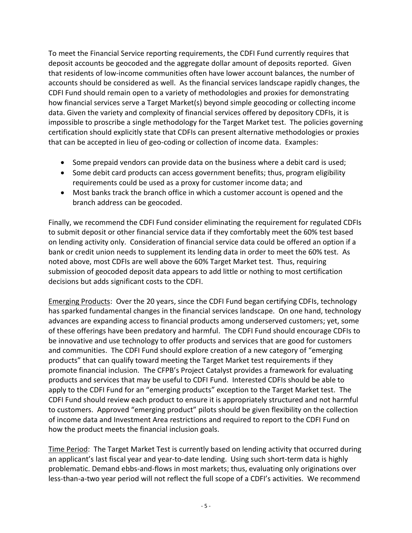To meet the Financial Service reporting requirements, the CDFI Fund currently requires that deposit accounts be geocoded and the aggregate dollar amount of deposits reported. Given that residents of low-income communities often have lower account balances, the number of accounts should be considered as well. As the financial services landscape rapidly changes, the CDFI Fund should remain open to a variety of methodologies and proxies for demonstrating how financial services serve a Target Market(s) beyond simple geocoding or collecting income data. Given the variety and complexity of financial services offered by depository CDFIs, it is impossible to proscribe a single methodology for the Target Market test. The policies governing certification should explicitly state that CDFIs can present alternative methodologies or proxies that can be accepted in lieu of geo-coding or collection of income data. Examples:

- Some prepaid vendors can provide data on the business where a debit card is used;
- Some debit card products can access government benefits; thus, program eligibility requirements could be used as a proxy for customer income data; and
- Most banks track the branch office in which a customer account is opened and the branch address can be geocoded.

Finally, we recommend the CDFI Fund consider eliminating the requirement for regulated CDFIs to submit deposit or other financial service data if they comfortably meet the 60% test based on lending activity only. Consideration of financial service data could be offered an option if a bank or credit union needs to supplement its lending data in order to meet the 60% test. As noted above, most CDFIs are well above the 60% Target Market test. Thus, requiring submission of geocoded deposit data appears to add little or nothing to most certification decisions but adds significant costs to the CDFI.

Emerging Products: Over the 20 years, since the CDFI Fund began certifying CDFIs, technology has sparked fundamental changes in the financial services landscape. On one hand, technology advances are expanding access to financial products among underserved customers; yet, some of these offerings have been predatory and harmful. The CDFI Fund should encourage CDFIs to be innovative and use technology to offer products and services that are good for customers and communities. The CDFI Fund should explore creation of a new category of "emerging products" that can qualify toward meeting the Target Market test requirements if they promote financial inclusion. The CFPB's Project Catalyst provides a framework for evaluating products and services that may be useful to CDFI Fund. Interested CDFIs should be able to apply to the CDFI Fund for an "emerging products" exception to the Target Market test. The CDFI Fund should review each product to ensure it is appropriately structured and not harmful to customers. Approved "emerging product" pilots should be given flexibility on the collection of income data and Investment Area restrictions and required to report to the CDFI Fund on how the product meets the financial inclusion goals.

Time Period: The Target Market Test is currently based on lending activity that occurred during an applicant's last fiscal year and year-to-date lending. Using such short-term data is highly problematic. Demand ebbs-and-flows in most markets; thus, evaluating only originations over less-than-a-two year period will not reflect the full scope of a CDFI's activities. We recommend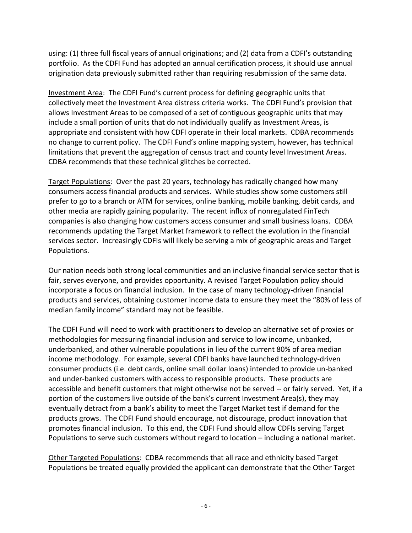using: (1) three full fiscal years of annual originations; and (2) data from a CDFI's outstanding portfolio. As the CDFI Fund has adopted an annual certification process, it should use annual origination data previously submitted rather than requiring resubmission of the same data.

Investment Area: The CDFI Fund's current process for defining geographic units that collectively meet the Investment Area distress criteria works. The CDFI Fund's provision that allows Investment Areas to be composed of a set of contiguous geographic units that may include a small portion of units that do not individually qualify as Investment Areas, is appropriate and consistent with how CDFI operate in their local markets. CDBA recommends no change to current policy. The CDFI Fund's online mapping system, however, has technical limitations that prevent the aggregation of census tract and county level Investment Areas. CDBA recommends that these technical glitches be corrected.

Target Populations: Over the past 20 years, technology has radically changed how many consumers access financial products and services. While studies show some customers still prefer to go to a branch or ATM for services, online banking, mobile banking, debit cards, and other media are rapidly gaining popularity. The recent influx of nonregulated FinTech companies is also changing how customers access consumer and small business loans. CDBA recommends updating the Target Market framework to reflect the evolution in the financial services sector. Increasingly CDFIs will likely be serving a mix of geographic areas and Target Populations.

Our nation needs both strong local communities and an inclusive financial service sector that is fair, serves everyone, and provides opportunity. A revised Target Population policy should incorporate a focus on financial inclusion. In the case of many technology-driven financial products and services, obtaining customer income data to ensure they meet the "80% of less of median family income" standard may not be feasible.

The CDFI Fund will need to work with practitioners to develop an alternative set of proxies or methodologies for measuring financial inclusion and service to low income, unbanked, underbanked, and other vulnerable populations in lieu of the current 80% of area median income methodology. For example, several CDFI banks have launched technology-driven consumer products (i.e. debt cards, online small dollar loans) intended to provide un-banked and under-banked customers with access to responsible products. These products are accessible and benefit customers that might otherwise not be served -- or fairly served. Yet, if a portion of the customers live outside of the bank's current Investment Area(s), they may eventually detract from a bank's ability to meet the Target Market test if demand for the products grows. The CDFI Fund should encourage, not discourage, product innovation that promotes financial inclusion. To this end, the CDFI Fund should allow CDFIs serving Target Populations to serve such customers without regard to location – including a national market.

Other Targeted Populations: CDBA recommends that all race and ethnicity based Target Populations be treated equally provided the applicant can demonstrate that the Other Target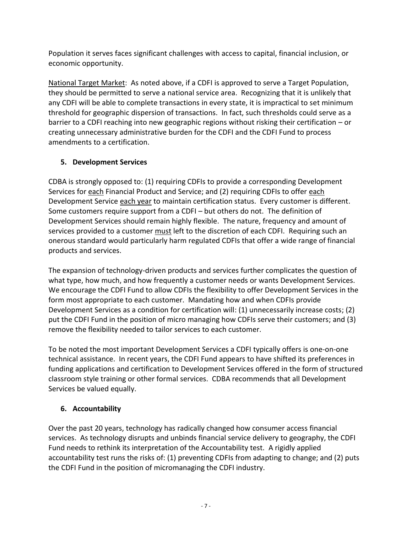Population it serves faces significant challenges with access to capital, financial inclusion, or economic opportunity.

National Target Market: As noted above, if a CDFI is approved to serve a Target Population, they should be permitted to serve a national service area. Recognizing that it is unlikely that any CDFI will be able to complete transactions in every state, it is impractical to set minimum threshold for geographic dispersion of transactions. In fact, such thresholds could serve as a barrier to a CDFI reaching into new geographic regions without risking their certification – or creating unnecessary administrative burden for the CDFI and the CDFI Fund to process amendments to a certification.

## **5. Development Services**

CDBA is strongly opposed to: (1) requiring CDFIs to provide a corresponding Development Services for each Financial Product and Service; and (2) requiring CDFIs to offer each Development Service each year to maintain certification status. Every customer is different. Some customers require support from a CDFI – but others do not. The definition of Development Services should remain highly flexible. The nature, frequency and amount of services provided to a customer must left to the discretion of each CDFI. Requiring such an onerous standard would particularly harm regulated CDFIs that offer a wide range of financial products and services.

The expansion of technology-driven products and services further complicates the question of what type, how much, and how frequently a customer needs or wants Development Services. We encourage the CDFI Fund to allow CDFIs the flexibility to offer Development Services in the form most appropriate to each customer. Mandating how and when CDFIs provide Development Services as a condition for certification will: (1) unnecessarily increase costs; (2) put the CDFI Fund in the position of micro managing how CDFIs serve their customers; and (3) remove the flexibility needed to tailor services to each customer.

To be noted the most important Development Services a CDFI typically offers is one-on-one technical assistance. In recent years, the CDFI Fund appears to have shifted its preferences in funding applications and certification to Development Services offered in the form of structured classroom style training or other formal services. CDBA recommends that all Development Services be valued equally.

# **6. Accountability**

Over the past 20 years, technology has radically changed how consumer access financial services. As technology disrupts and unbinds financial service delivery to geography, the CDFI Fund needs to rethink its interpretation of the Accountability test. A rigidly applied accountability test runs the risks of: (1) preventing CDFIs from adapting to change; and (2) puts the CDFI Fund in the position of micromanaging the CDFI industry.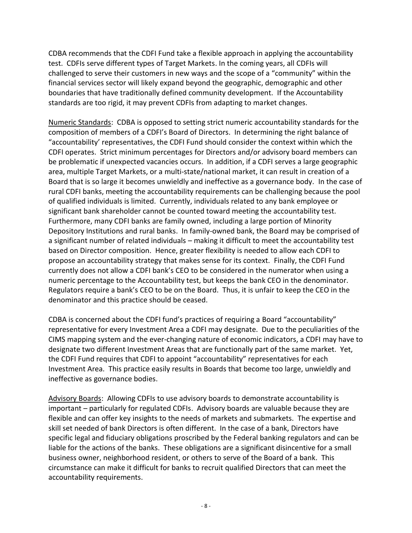CDBA recommends that the CDFI Fund take a flexible approach in applying the accountability test. CDFIs serve different types of Target Markets. In the coming years, all CDFIs will challenged to serve their customers in new ways and the scope of a "community" within the financial services sector will likely expand beyond the geographic, demographic and other boundaries that have traditionally defined community development. If the Accountability standards are too rigid, it may prevent CDFIs from adapting to market changes.

Numeric Standards: CDBA is opposed to setting strict numeric accountability standards for the composition of members of a CDFI's Board of Directors. In determining the right balance of "accountability' representatives, the CDFI Fund should consider the context within which the CDFI operates. Strict minimum percentages for Directors and/or advisory board members can be problematic if unexpected vacancies occurs. In addition, if a CDFI serves a large geographic area, multiple Target Markets, or a multi-state/national market, it can result in creation of a Board that is so large it becomes unwieldly and ineffective as a governance body. In the case of rural CDFI banks, meeting the accountability requirements can be challenging because the pool of qualified individuals is limited. Currently, individuals related to any bank employee or significant bank shareholder cannot be counted toward meeting the accountability test. Furthermore, many CDFI banks are family owned, including a large portion of Minority Depository Institutions and rural banks. In family-owned bank, the Board may be comprised of a significant number of related individuals – making it difficult to meet the accountability test based on Director composition. Hence, greater flexibility is needed to allow each CDFI to propose an accountability strategy that makes sense for its context. Finally, the CDFI Fund currently does not allow a CDFI bank's CEO to be considered in the numerator when using a numeric percentage to the Accountability test, but keeps the bank CEO in the denominator. Regulators require a bank's CEO to be on the Board. Thus, it is unfair to keep the CEO in the denominator and this practice should be ceased.

CDBA is concerned about the CDFI fund's practices of requiring a Board "accountability" representative for every Investment Area a CDFI may designate. Due to the peculiarities of the CIMS mapping system and the ever-changing nature of economic indicators, a CDFI may have to designate two different Investment Areas that are functionally part of the same market. Yet, the CDFI Fund requires that CDFI to appoint "accountability" representatives for each Investment Area. This practice easily results in Boards that become too large, unwieldly and ineffective as governance bodies.

Advisory Boards: Allowing CDFIs to use advisory boards to demonstrate accountability is important – particularly for regulated CDFIs. Advisory boards are valuable because they are flexible and can offer key insights to the needs of markets and submarkets. The expertise and skill set needed of bank Directors is often different. In the case of a bank, Directors have specific legal and fiduciary obligations proscribed by the Federal banking regulators and can be liable for the actions of the banks. These obligations are a significant disincentive for a small business owner, neighborhood resident, or others to serve of the Board of a bank. This circumstance can make it difficult for banks to recruit qualified Directors that can meet the accountability requirements.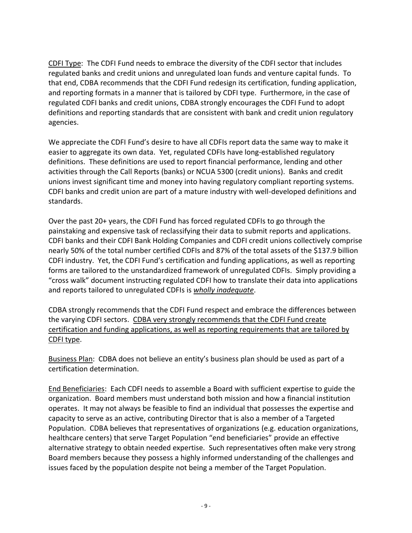CDFI Type: The CDFI Fund needs to embrace the diversity of the CDFI sector that includes regulated banks and credit unions and unregulated loan funds and venture capital funds. To that end, CDBA recommends that the CDFI Fund redesign its certification, funding application, and reporting formats in a manner that is tailored by CDFI type. Furthermore, in the case of regulated CDFI banks and credit unions, CDBA strongly encourages the CDFI Fund to adopt definitions and reporting standards that are consistent with bank and credit union regulatory agencies.

We appreciate the CDFI Fund's desire to have all CDFIs report data the same way to make it easier to aggregate its own data. Yet, regulated CDFIs have long-established regulatory definitions. These definitions are used to report financial performance, lending and other activities through the Call Reports (banks) or NCUA 5300 (credit unions). Banks and credit unions invest significant time and money into having regulatory compliant reporting systems. CDFI banks and credit union are part of a mature industry with well-developed definitions and standards.

Over the past 20+ years, the CDFI Fund has forced regulated CDFIs to go through the painstaking and expensive task of reclassifying their data to submit reports and applications. CDFI banks and their CDFI Bank Holding Companies and CDFI credit unions collectively comprise nearly 50% of the total number certified CDFIs and 87% of the total assets of the \$137.9 billion CDFI industry. Yet, the CDFI Fund's certification and funding applications, as well as reporting forms are tailored to the unstandardized framework of unregulated CDFIs. Simply providing a "cross walk" document instructing regulated CDFI how to translate their data into applications and reports tailored to unregulated CDFIs is *wholly inadequate*.

CDBA strongly recommends that the CDFI Fund respect and embrace the differences between the varying CDFI sectors. CDBA very strongly recommends that the CDFI Fund create certification and funding applications, as well as reporting requirements that are tailored by CDFI type.

Business Plan: CDBA does not believe an entity's business plan should be used as part of a certification determination.

End Beneficiaries: Each CDFI needs to assemble a Board with sufficient expertise to guide the organization. Board members must understand both mission and how a financial institution operates. It may not always be feasible to find an individual that possesses the expertise and capacity to serve as an active, contributing Director that is also a member of a Targeted Population. CDBA believes that representatives of organizations (e.g. education organizations, healthcare centers) that serve Target Population "end beneficiaries" provide an effective alternative strategy to obtain needed expertise. Such representatives often make very strong Board members because they possess a highly informed understanding of the challenges and issues faced by the population despite not being a member of the Target Population.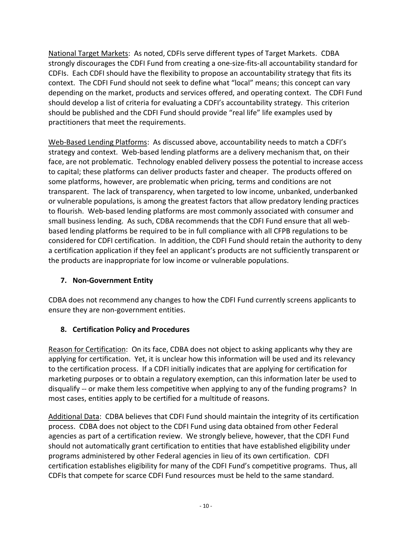National Target Markets: As noted, CDFIs serve different types of Target Markets. CDBA strongly discourages the CDFI Fund from creating a one-size-fits-all accountability standard for CDFIs. Each CDFI should have the flexibility to propose an accountability strategy that fits its context. The CDFI Fund should not seek to define what "local" means; this concept can vary depending on the market, products and services offered, and operating context. The CDFI Fund should develop a list of criteria for evaluating a CDFI's accountability strategy. This criterion should be published and the CDFI Fund should provide "real life" life examples used by practitioners that meet the requirements.

Web-Based Lending Platforms: As discussed above, accountability needs to match a CDFI's strategy and context. Web-based lending platforms are a delivery mechanism that, on their face, are not problematic. Technology enabled delivery possess the potential to increase access to capital; these platforms can deliver products faster and cheaper. The products offered on some platforms, however, are problematic when pricing, terms and conditions are not transparent. The lack of transparency, when targeted to low income, unbanked, underbanked or vulnerable populations, is among the greatest factors that allow predatory lending practices to flourish. Web-based lending platforms are most commonly associated with consumer and small business lending. As such, CDBA recommends that the CDFI Fund ensure that all webbased lending platforms be required to be in full compliance with all CFPB regulations to be considered for CDFI certification. In addition, the CDFI Fund should retain the authority to deny a certification application if they feel an applicant's products are not sufficiently transparent or the products are inappropriate for low income or vulnerable populations.

### **7. Non-Government Entity**

CDBA does not recommend any changes to how the CDFI Fund currently screens applicants to ensure they are non-government entities.

### **8. Certification Policy and Procedures**

Reason for Certification: On its face, CDBA does not object to asking applicants why they are applying for certification. Yet, it is unclear how this information will be used and its relevancy to the certification process. If a CDFI initially indicates that are applying for certification for marketing purposes or to obtain a regulatory exemption, can this information later be used to disqualify -- or make them less competitive when applying to any of the funding programs? In most cases, entities apply to be certified for a multitude of reasons.

Additional Data: CDBA believes that CDFI Fund should maintain the integrity of its certification process. CDBA does not object to the CDFI Fund using data obtained from other Federal agencies as part of a certification review. We strongly believe, however, that the CDFI Fund should not automatically grant certification to entities that have established eligibility under programs administered by other Federal agencies in lieu of its own certification. CDFI certification establishes eligibility for many of the CDFI Fund's competitive programs. Thus, all CDFIs that compete for scarce CDFI Fund resources must be held to the same standard.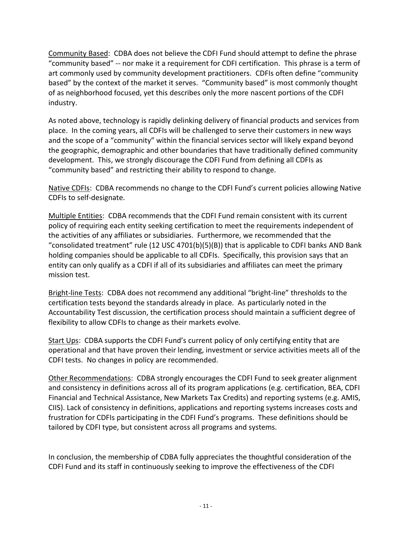Community Based: CDBA does not believe the CDFI Fund should attempt to define the phrase "community based" -- nor make it a requirement for CDFI certification. This phrase is a term of art commonly used by community development practitioners. CDFIs often define "community based" by the context of the market it serves. "Community based" is most commonly thought of as neighborhood focused, yet this describes only the more nascent portions of the CDFI industry.

As noted above, technology is rapidly delinking delivery of financial products and services from place. In the coming years, all CDFIs will be challenged to serve their customers in new ways and the scope of a "community" within the financial services sector will likely expand beyond the geographic, demographic and other boundaries that have traditionally defined community development. This, we strongly discourage the CDFI Fund from defining all CDFIs as "community based" and restricting their ability to respond to change.

Native CDFIs: CDBA recommends no change to the CDFI Fund's current policies allowing Native CDFIs to self-designate.

Multiple Entities: CDBA recommends that the CDFI Fund remain consistent with its current policy of requiring each entity seeking certification to meet the requirements independent of the activities of any affiliates or subsidiaries. Furthermore, we recommended that the "consolidated treatment" rule (12 USC 4701(b)(5)(B)) that is applicable to CDFI banks AND Bank holding companies should be applicable to all CDFIs. Specifically, this provision says that an entity can only qualify as a CDFI if all of its subsidiaries and affiliates can meet the primary mission test.

Bright-line Tests: CDBA does not recommend any additional "bright-line" thresholds to the certification tests beyond the standards already in place. As particularly noted in the Accountability Test discussion, the certification process should maintain a sufficient degree of flexibility to allow CDFIs to change as their markets evolve.

Start Ups: CDBA supports the CDFI Fund's current policy of only certifying entity that are operational and that have proven their lending, investment or service activities meets all of the CDFI tests. No changes in policy are recommended.

Other Recommendations: CDBA strongly encourages the CDFI Fund to seek greater alignment and consistency in definitions across all of its program applications (e.g. certification, BEA, CDFI Financial and Technical Assistance, New Markets Tax Credits) and reporting systems (e.g. AMIS, CIIS). Lack of consistency in definitions, applications and reporting systems increases costs and frustration for CDFIs participating in the CDFI Fund's programs. These definitions should be tailored by CDFI type, but consistent across all programs and systems.

In conclusion, the membership of CDBA fully appreciates the thoughtful consideration of the CDFI Fund and its staff in continuously seeking to improve the effectiveness of the CDFI